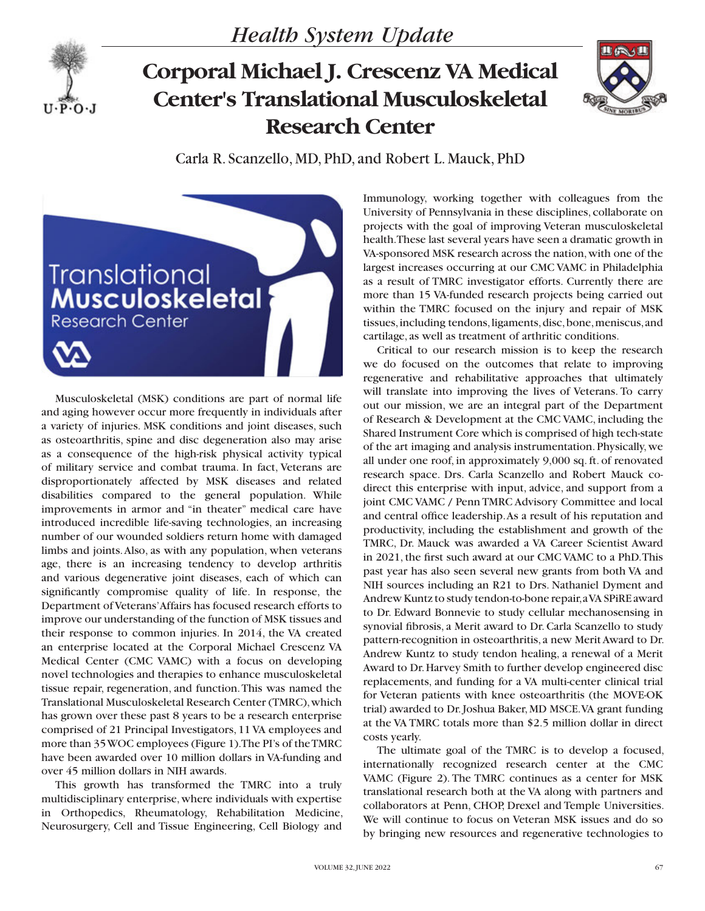

## **Corporal Michael J. Crescenz VA Medical Center's Translational Musculoskeletal Research Center**



Carla R. Scanzello, MD, PhD, and Robert L. Mauck, PhD



Musculoskeletal (MSK) conditions are part of normal life and aging however occur more frequently in individuals after a variety of injuries. MSK conditions and joint diseases, such as osteoarthritis, spine and disc degeneration also may arise as a consequence of the high-risk physical activity typical of military service and combat trauma. In fact, Veterans are disproportionately affected by MSK diseases and related disabilities compared to the general population. While improvements in armor and "in theater" medical care have introduced incredible life-saving technologies, an increasing number of our wounded soldiers return home with damaged limbs and joints. Also, as with any population, when veterans age, there is an increasing tendency to develop arthritis and various degenerative joint diseases, each of which can significantly compromise quality of life. In response, the Department of Veterans' Affairs has focused research efforts to improve our understanding of the function of MSK tissues and their response to common injuries. In 2014, the VA created an enterprise located at the Corporal Michael Crescenz VA Medical Center (CMC VAMC) with a focus on developing novel technologies and therapies to enhance musculoskeletal tissue repair, regeneration, and function. This was named the Translational Musculoskeletal Research Center (TMRC), which has grown over these past 8 years to be a research enterprise comprised of 21 Principal Investigators, 11 VA employees and more than 35 WOC employees (Figure 1). The PI's of the TMRC have been awarded over 10 million dollars in VA-funding and over 45 million dollars in NIH awards.

This growth has transformed the TMRC into a truly multidisciplinary enterprise, where individuals with expertise in Orthopedics, Rheumatology, Rehabilitation Medicine, Neurosurgery, Cell and Tissue Engineering, Cell Biology and

Immunology, working together with colleagues from the University of Pennsylvania in these disciplines, collaborate on projects with the goal of improving Veteran musculoskeletal health. These last several years have seen a dramatic growth in VA-sponsored MSK research across the nation, with one of the largest increases occurring at our CMC VAMC in Philadelphia as a result of TMRC investigator efforts. Currently there are more than 15 VA-funded research projects being carried out within the TMRC focused on the injury and repair of MSK tissues, including tendons, ligaments, disc, bone, meniscus, and cartilage, as well as treatment of arthritic conditions.

Critical to our research mission is to keep the research we do focused on the outcomes that relate to improving regenerative and rehabilitative approaches that ultimately will translate into improving the lives of Veterans. To carry out our mission, we are an integral part of the Department of Research & Development at the CMC VAMC, including the Shared Instrument Core which is comprised of high tech-state of the art imaging and analysis instrumentation. Physically, we all under one roof, in approximately 9,000 sq. ft. of renovated research space. Drs. Carla Scanzello and Robert Mauck codirect this enterprise with input, advice, and support from a joint CMC VAMC / Penn TMRC Advisory Committee and local and central office leadership. As a result of his reputation and productivity, including the establishment and growth of the TMRC, Dr. Mauck was awarded a VA Career Scientist Award in 2021, the first such award at our CMC VAMC to a PhD. This past year has also seen several new grants from both VA and NIH sources including an R21 to Drs. Nathaniel Dyment and Andrew Kuntz to study tendon-to-bone repair, a VA SPiRE award to Dr. Edward Bonnevie to study cellular mechanosensing in synovial fibrosis, a Merit award to Dr. Carla Scanzello to study pattern-recognition in osteoarthritis, a new Merit Award to Dr. Andrew Kuntz to study tendon healing, a renewal of a Merit Award to Dr. Harvey Smith to further develop engineered disc replacements, and funding for a VA multi-center clinical trial for Veteran patients with knee osteoarthritis (the MOVE-OK trial) awarded to Dr. Joshua Baker, MD MSCE. VA grant funding at the VA TMRC totals more than \$2.5 million dollar in direct costs yearly.

The ultimate goal of the TMRC is to develop a focused, internationally recognized research center at the CMC VAMC (Figure 2). The TMRC continues as a center for MSK translational research both at the VA along with partners and collaborators at Penn, CHOP, Drexel and Temple Universities. We will continue to focus on Veteran MSK issues and do so by bringing new resources and regenerative technologies to